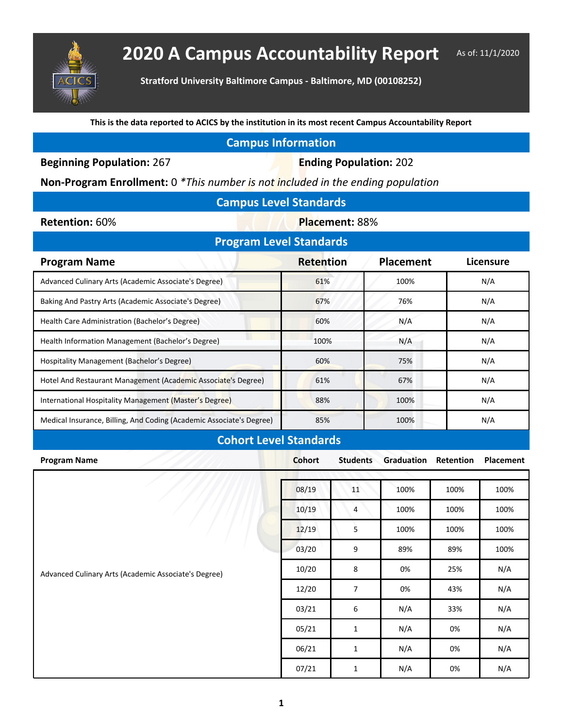

## **2020 A Campus Accountability Report** As of: 11/1/2020

**Stratford University Baltimore Campus - Baltimore, MD (00108252)**

**This is the data reported to ACICS by the institution in its most recent Campus Accountability Report**

| <b>Campus Information</b> |  |  |
|---------------------------|--|--|
|                           |  |  |
|                           |  |  |

**Beginning Population: 267 <b>Ending Population: 202** 

**Non-Program Enrollment:** 0 *\*This number is not included in the ending population*

| <b>Campus Level Standards</b> |  |
|-------------------------------|--|
|                               |  |

**Retention:** 60% **Placement: 88%** 

| <b>Program Level Standards</b>                                       |                  |                  |           |  |  |  |  |  |
|----------------------------------------------------------------------|------------------|------------------|-----------|--|--|--|--|--|
| <b>Program Name</b>                                                  | <b>Retention</b> | <b>Placement</b> | Licensure |  |  |  |  |  |
| Advanced Culinary Arts (Academic Associate's Degree)                 | 61%              | 100%             | N/A       |  |  |  |  |  |
| Baking And Pastry Arts (Academic Associate's Degree)                 | 67%              | 76%              | N/A       |  |  |  |  |  |
| Health Care Administration (Bachelor's Degree)                       | 60%              | N/A              | N/A       |  |  |  |  |  |
| Health Information Management (Bachelor's Degree)                    | 100%             | N/A              | N/A       |  |  |  |  |  |
| Hospitality Management (Bachelor's Degree)                           | 60%              | 75%              | N/A       |  |  |  |  |  |
| Hotel And Restaurant Management (Academic Associate's Degree)        | 61%              | 67%              | N/A       |  |  |  |  |  |
| International Hospitality Management (Master's Degree)               | 88%              | 100%             | N/A       |  |  |  |  |  |
| Medical Insurance, Billing, And Coding (Academic Associate's Degree) | 85%              | 100%             | N/A       |  |  |  |  |  |

## **Cohort Level Standards**

| <b>Program Name</b>                                  | <b>Cohort</b> | <b>Students</b> | <b>Graduation Retention</b> |      | Placement |
|------------------------------------------------------|---------------|-----------------|-----------------------------|------|-----------|
|                                                      |               |                 |                             |      |           |
|                                                      | 08/19         | 11              | 100%                        | 100% | 100%      |
|                                                      | 10/19         | 4               | 100%                        | 100% | 100%      |
|                                                      | 12/19         | 5               | 100%                        | 100% | 100%      |
|                                                      | 03/20         | 9               | 89%                         | 89%  | 100%      |
| Advanced Culinary Arts (Academic Associate's Degree) | 10/20         | 8               | 0%                          | 25%  | N/A       |
|                                                      | 12/20         | 7               | 0%                          | 43%  | N/A       |
|                                                      | 03/21         | 6               | N/A                         | 33%  | N/A       |
|                                                      | 05/21         | $\mathbf{1}$    | N/A                         | 0%   | N/A       |
|                                                      | 06/21         | 1               | N/A                         | 0%   | N/A       |
|                                                      | 07/21         | $\mathbf{1}$    | N/A                         | 0%   | N/A       |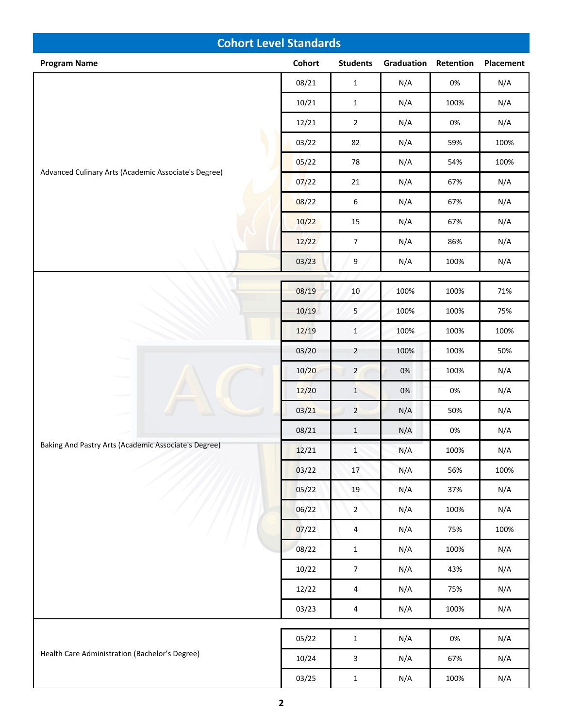| <b>Cohort Level Standards</b>                        |               |                         |            |           |                  |  |  |
|------------------------------------------------------|---------------|-------------------------|------------|-----------|------------------|--|--|
| <b>Program Name</b>                                  | <b>Cohort</b> | <b>Students</b>         | Graduation | Retention | <b>Placement</b> |  |  |
|                                                      | 08/21         | $\mathbf{1}$            | N/A        | $0\%$     | N/A              |  |  |
|                                                      | 10/21         | $\mathbf{1}$            | N/A        | 100%      | N/A              |  |  |
|                                                      | 12/21         | $\overline{2}$          | N/A        | 0%        | N/A              |  |  |
|                                                      | 03/22         | 82                      | N/A        | 59%       | 100%             |  |  |
| Advanced Culinary Arts (Academic Associate's Degree) | 05/22         | 78                      | N/A        | 54%       | 100%             |  |  |
|                                                      | 07/22         | $21\,$                  | N/A        | 67%       | N/A              |  |  |
|                                                      | 08/22         | 6                       | N/A        | 67%       | N/A              |  |  |
|                                                      | 10/22         | 15                      | N/A        | 67%       | N/A              |  |  |
|                                                      | 12/22         | $\overline{7}$          | N/A        | 86%       | N/A              |  |  |
|                                                      | 03/23         | $\boldsymbol{9}$        | N/A        | 100%      | N/A              |  |  |
|                                                      | 08/19         | $10\,$                  | 100%       | 100%      | 71%              |  |  |
|                                                      | 10/19         | 5                       | 100%       | 100%      | 75%              |  |  |
|                                                      | 12/19         | $\mathbf 1$             | 100%       | 100%      | 100%             |  |  |
|                                                      | 03/20         | $\overline{2}$          | 100%       | 100%      | 50%              |  |  |
|                                                      | 10/20         | $\overline{2}$          | 0%         | 100%      | N/A              |  |  |
|                                                      | 12/20         | $\,1\,$                 | $0\%$      | $0\%$     | N/A              |  |  |
|                                                      | 03/21         | $\overline{2}$          | N/A        | 50%       | N/A              |  |  |
|                                                      | 08/21         | $\mathbf 1$             | N/A        | 0%        | N/A              |  |  |
| Baking And Pastry Arts (Academic Associate's Degree) | 12/21         | $\mathbf 1$             | N/A        | 100%      | N/A              |  |  |
|                                                      | 03/22         | $17\,$                  | N/A        | 56%       | 100%             |  |  |
|                                                      | 05/22         | 19                      | N/A        | 37%       | N/A              |  |  |
|                                                      | 06/22         | $\overline{2}$          | N/A        | 100%      | N/A              |  |  |
|                                                      | 07/22         | $\overline{\mathbf{4}}$ | N/A        | 75%       | 100%             |  |  |
|                                                      | 08/22         | $\mathbf{1}$            | N/A        | 100%      | N/A              |  |  |
|                                                      | 10/22         | $\overline{7}$          | N/A        | 43%       | N/A              |  |  |
|                                                      | 12/22         | $\sqrt{4}$              | N/A        | 75%       | N/A              |  |  |
|                                                      | 03/23         | $\overline{a}$          | N/A        | 100%      | N/A              |  |  |
|                                                      | 05/22         |                         | N/A        | $0\%$     | N/A              |  |  |
| Health Care Administration (Bachelor's Degree)       | 10/24         | $\mathbf 1$             |            | 67%       | N/A              |  |  |
|                                                      | 03/25         | 3<br>$\mathbf 1$        | N/A<br>N/A | 100%      | N/A              |  |  |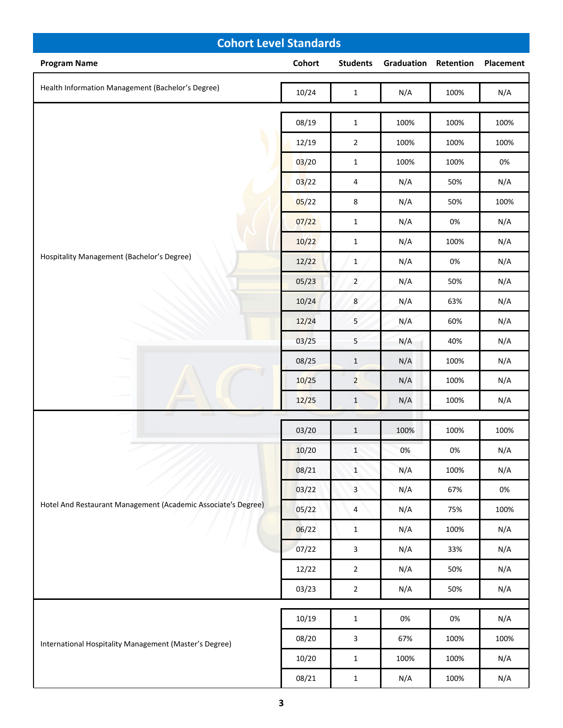| <b>Cohort Level Standards</b>                          |                                                               |                |                 |                             |       |           |
|--------------------------------------------------------|---------------------------------------------------------------|----------------|-----------------|-----------------------------|-------|-----------|
| <b>Program Name</b>                                    |                                                               | Cohort         | <b>Students</b> | <b>Graduation Retention</b> |       | Placement |
| Health Information Management (Bachelor's Degree)      |                                                               | 10/24          | $\mathbf 1$     | N/A                         | 100%  | N/A       |
|                                                        |                                                               | 08/19          | $\mathbf{1}$    | 100%                        | 100%  | 100%      |
|                                                        |                                                               | 12/19          | $\mathbf 2$     | 100%                        | 100%  | 100%      |
|                                                        |                                                               | 03/20          | $\mathbf{1}$    | 100%                        | 100%  | $0\%$     |
|                                                        |                                                               | 03/22          | 4               | N/A                         | 50%   | N/A       |
|                                                        |                                                               | 05/22          | $\,8\,$         | N/A                         | 50%   | 100%      |
|                                                        |                                                               | 07/22          | $\mathbf{1}$    | N/A                         | 0%    | N/A       |
|                                                        |                                                               | 10/22          | $\mathbf{1}$    | N/A                         | 100%  | N/A       |
| Hospitality Management (Bachelor's Degree)             |                                                               | 12/22          | $\mathbf{1}$    | N/A                         | 0%    | N/A       |
|                                                        |                                                               | 05/23          | $\overline{2}$  | N/A                         | 50%   | N/A       |
|                                                        |                                                               | 10/24          | $\bf 8$         | N/A                         | 63%   | N/A       |
|                                                        |                                                               | 12/24          | 5               | N/A                         | 60%   | N/A       |
|                                                        |                                                               | 03/25          | $\mathsf S$     | N/A                         | 40%   | N/A       |
|                                                        |                                                               | 08/25          | $1\,$           | N/A                         | 100%  | N/A       |
|                                                        |                                                               | 10/25          | $\overline{2}$  | N/A                         | 100%  | N/A       |
|                                                        |                                                               | 12/25          | $\mathbf{1}$    | N/A                         | 100%  | N/A       |
|                                                        |                                                               | 03/20          | $\mathbf{1}$    | 100%                        | 100%  | 100%      |
|                                                        |                                                               | 10/20          | $\mathbf 1$     | 0%                          | $0\%$ | N/A       |
|                                                        |                                                               | 08/21          | $\mathbf{1}$    | N/A                         | 100%  | N/A       |
|                                                        |                                                               | 03/22          | $\overline{3}$  | N/A                         | 67%   | $0\%$     |
|                                                        | Hotel And Restaurant Management (Academic Associate's Degree) | 05/22          | 4               | N/A                         | 75%   | 100%      |
|                                                        |                                                               | 06/22          | $\mathbf 1$     | N/A                         | 100%  | N/A       |
|                                                        |                                                               | 07/22          | $\mathbf{3}$    | N/A                         | 33%   | N/A       |
|                                                        | 12/22                                                         | $\overline{2}$ | N/A             | 50%                         | N/A   |           |
|                                                        | 03/23                                                         | $\mathbf 2$    | N/A             | 50%                         | N/A   |           |
|                                                        |                                                               | 10/19          | $\mathbf{1}$    | 0%                          | $0\%$ | N/A       |
| International Hospitality Management (Master's Degree) |                                                               | 08/20          | $\mathbf{3}$    | 67%                         | 100%  | 100%      |
|                                                        |                                                               | 10/20          | $\mathbf{1}$    | 100%                        | 100%  | N/A       |
|                                                        | 08/21                                                         | $\mathbf{1}$   | N/A             | 100%                        | N/A   |           |